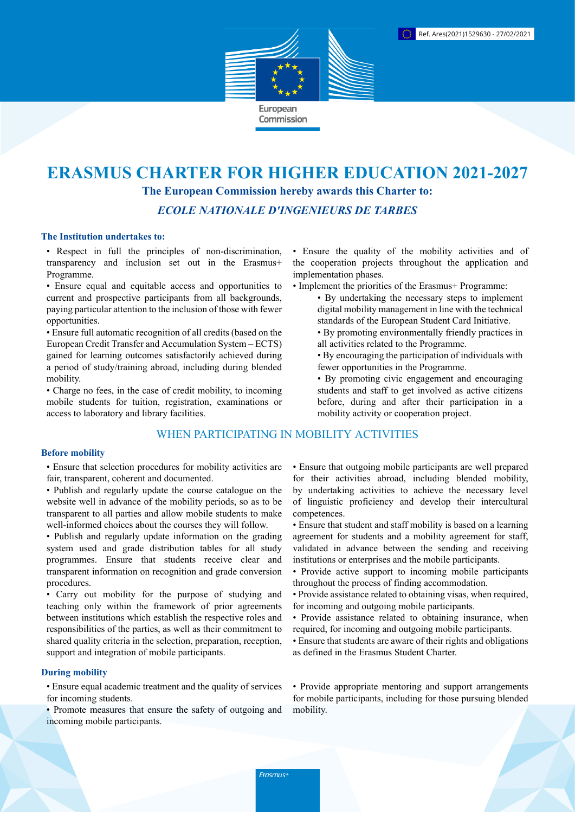

# **ERASMUS CHARTER FOR HIGHER EDUCATION 2021-2027 The European Commission hereby awards this Charter to:**

*ECOLE NATIONALE D'INGENIEURS DE TARBES*

## **The Institution undertakes to:**

• Respect in full the principles of non-discrimination, transparency and inclusion set out in the Erasmus+ Programme.

• Ensure equal and equitable access and opportunities to current and prospective participants from all backgrounds, paying particular attention to the inclusion of those with fewer opportunities.

• Ensure full automatic recognition of all credits (based on the European Credit Transfer and Accumulation System – ECTS) gained for learning outcomes satisfactorily achieved during a period of study/training abroad, including during blended mobility.

• Charge no fees, in the case of credit mobility, to incoming mobile students for tuition, registration, examinations or access to laboratory and library facilities.

# WHEN PARTICIPATING IN MOBILITY ACTIVITIES

#### **Before mobility**

• Ensure that selection procedures for mobility activities are fair, transparent, coherent and documented.

- Publish and regularly update the course catalogue on the website well in advance of the mobility periods, so as to be transparent to all parties and allow mobile students to make well-informed choices about the courses they will follow.
- Publish and regularly update information on the grading system used and grade distribution tables for all study programmes. Ensure that students receive clear and transparent information on recognition and grade conversion procedures.

• Carry out mobility for the purpose of studying and teaching only within the framework of prior agreements between institutions which establish the respective roles and responsibilities of the parties, as well as their commitment to shared quality criteria in the selection, preparation, reception, support and integration of mobile participants.

#### **During mobility**

• Ensure equal academic treatment and the quality of services for incoming students.

• Promote measures that ensure the safety of outgoing and incoming mobile participants.

• Ensure the quality of the mobility activities and of the cooperation projects throughout the application and implementation phases.

- Implement the priorities of the Erasmus+ Programme:
	- By undertaking the necessary steps to implement digital mobility management in line with the technical standards of the European Student Card Initiative.
	- By promoting environmentally friendly practices in all activities related to the Programme.
	- By encouraging the participation of individuals with fewer opportunities in the Programme.
	- By promoting civic engagement and encouraging students and staff to get involved as active citizens before, during and after their participation in a mobility activity or cooperation project.

• Ensure that outgoing mobile participants are well prepared for their activities abroad, including blended mobility, by undertaking activities to achieve the necessary level of linguistic proficiency and develop their intercultural competences.

- Ensure that student and staff mobility is based on a learning agreement for students and a mobility agreement for staff, validated in advance between the sending and receiving institutions or enterprises and the mobile participants.
- Provide active support to incoming mobile participants throughout the process of finding accommodation.
- Provide assistance related to obtaining visas, when required, for incoming and outgoing mobile participants.
- Provide assistance related to obtaining insurance, when required, for incoming and outgoing mobile participants.
- Ensure that students are aware of their rights and obligations as defined in the Erasmus Student Charter.

• Provide appropriate mentoring and support arrangements for mobile participants, including for those pursuing blended mobility.

Erasmus+